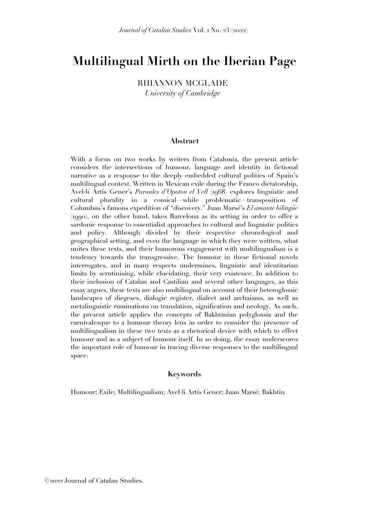# **Multilingual Mirth on the Iberian Page**

RHIANNON MCGLADE

*University of Cambridge*

#### **Abstract**

With a focus on two works by writers from Catalonia, the present article considers the intersections of humour, language and identity in fictional narrative as a response to the deeply embedded cultural politics of Spain's multilingual context. Written in Mexican exile during the Franco dictatorship, Avel·lí Artís Gener's *Paraules d'Opoton el Vell* (1968) explores linguistic and cultural plurality in a comical—while problematic—transposition of Columbus's famous expedition of "discovery." Juan Marsé's *El amante bilingüe* (1990), on the other hand, takes Barcelona as its setting in order to offer a sardonic response to essentialist approaches to cultural and linguistic politics and policy. Although divided by their respective chronological and geographical setting, and even the language in which they were written, what unites these texts, and their humorous engagement with multilingualism is a tendency towards the transgressive. The humour in these fictional novels interrogates, and in many respects undermines, linguistic and identitarian limits by scrutinising, while elucidating, their very existence. In addition to their inclusion of Catalan and Castilian and several other languages, as this essay argues, these texts are also multilingual on account of their heteroglossic landscapes of diegeses, dialogic register, dialect and archaisms, as well as metalinguistic ruminations on translation, signification and neology. As such, the present article applies the concepts of Bakhtinian polyglossia and the carnivalesque to a humour theory lens in order to consider the presence of multilingualism in these two texts as a rhetorical device with which to effect humour and as a subject of humour itself. In so doing, the essay underscores the important role of humour in tracing diverse responses to the multilingual space.

## **Keywords**

Humour; Exile; Multilingualism; Avel·lí Artís Gener; Juan Marsé; Bakhtin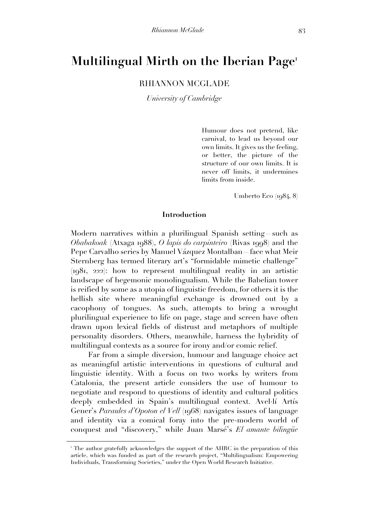# **Multilingual Mirth on the Iberian Page**<sup>1</sup>

### RHIANNON MCGLADE

*University of Cambridge*

Humour does not pretend, like carnival, to lead us beyond our own limits. It gives us the feeling, or better, the picture of the structure of our own limits. It is never off limits, it undermines limits from inside.

Umberto Eco (1984, 8)

### **Introduction**

Modern narratives within a plurilingual Spanish setting—such as *Obabakoak* (Atxaga 1988), *O lapis do carpinteiro* (Rivas 1998) and the Pepe Carvalho series by Manuel Vázquez Montalban—face what Meir Sternberg has termed literary art's "formidable mimetic challenge" (1981, 222): how to represent multilingual reality in an artistic landscape of hegemonic monolingualism. While the Babelian tower is reified by some as a utopia of linguistic freedom, for others it is the hellish site where meaningful exchange is drowned out by a cacophony of tongues. As such, attempts to bring a wrought plurilingual experience to life on page, stage and screen have often drawn upon lexical fields of distrust and metaphors of multiple personality disorders. Others, meanwhile, harness the hybridity of multilingual contexts as a source for irony and/or comic relief.

Far from a simple diversion, humour and language choice act as meaningful artistic interventions in questions of cultural and linguistic identity. With a focus on two works by writers from Catalonia, the present article considers the use of humour to negotiate and respond to questions of identity and cultural politics deeply embedded in Spain's multilingual context. Avel·lí Artís Gener's *Paraules d'Opoton el Vell* (1968) navigates issues of language and identity via a comical foray into the pre-modern world of conquest and "discovery," while Juan Marsé's *El amante bilingüe*

<sup>&</sup>lt;sup>1</sup> The author gratefully acknowledges the support of the AHRC in the preparation of this article, which was funded as part of the research project, "Multilingualism: Empowering Individuals, Transforming Societies," under the Open World Research Initiative.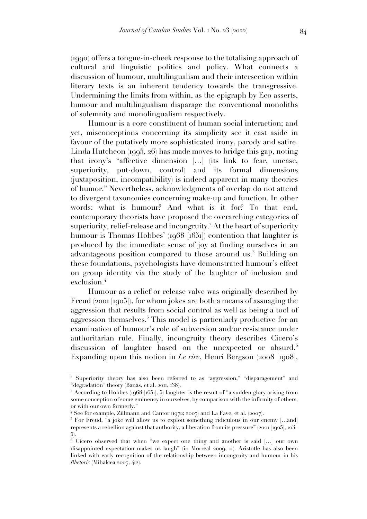(1990) offers a tongue-in-cheek response to the totalising approach of cultural and linguistic politics and policy. What connects a discussion of humour, multilingualism and their intersection within literary texts is an inherent tendency towards the transgressive. Undermining the limits from within, as the epigraph by Eco asserts, humour and multilingualism disparage the conventional monoliths of solemnity and monolingualism respectively.

Humour is a core constituent of human social interaction; and yet, misconceptions concerning its simplicity see it cast aside in favour of the putatively more sophisticated irony, parody and satire. Linda Hutcheon (1995, 26) has made moves to bridge this gap, noting that irony's "affective dimension […] (its link to fear, unease, superiority, put-down, control) and its formal dimensions (juxtaposition, incompatibility) is indeed apparent in many theories of humor." Nevertheless, acknowledgments of overlap do not attend to divergent taxonomies concerning make-up and function. In other words: what is humour? And what is it for? To that end, contemporary theorists have proposed the overarching categories of superiority, relief-release and incongruity.<sup>2</sup> At the heart of superiority humour is Thomas Hobbes' (1968 [1651]) contention that laughter is produced by the immediate sense of joy at finding ourselves in an advantageous position compared to those around us.<sup>3</sup> Building on these foundations, psychologists have demonstrated humour's effect on group identity via the study of the laughter of inclusion and exclusion.<sup>4</sup>

Humour as a relief or release valve was originally described by Freud (2001 [1905]), for whom jokes are both a means of assuaging the aggression that results from social control as well as being a tool of aggression themselves.<sup>5</sup> This model is particularly productive for an examination of humour's role of subversion and/or resistance under authoritarian rule. Finally, incongruity theory describes Cicero's discussion of laughter based on the unexpected or absurd.<sup>6</sup> Expanding upon this notion in *Le rire*, Henri Bergson (2008 [1908],

<sup>2</sup> Superiority theory has also been referred to as "aggression," "disparagement" and "degradation" theory (Banas, et al. 2011, 138).

<sup>3</sup> According to Hobbes (1968 [1651], 5) laughter is the result of "a sudden glory arising from some conception of some eminency in ourselves, by comparison with the infirmity of others, or with our own formerly."

<sup>4</sup> See for example, Zillmann and Cantor (1972; 2007) and La Fave, et al. (2007).

<sup>&</sup>lt;sup>5</sup> For Freud, "a joke will allow us to exploit something ridiculous in our enemy [...and] represents a rebellion against that authority, a liberation from its pressure" (2001 [1905], 103– 5).

 $6$  Cicero observed that when "we expect one thing and another is said [...] our own disappointed expectation makes us laugh" (in Morreal 2009, 11). Aristotle has also been linked with early recognition of the relationship between incongruity and humour in his *Rhetoric* (Mihalcea 2007, 412).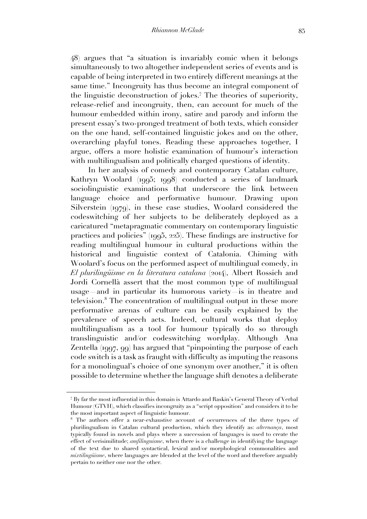48) argues that "a situation is invariably comic when it belongs simultaneously to two altogether independent series of events and is capable of being interpreted in two entirely different meanings at the same time." Incongruity has thus become an integral component of the linguistic deconstruction of jokes.<sup>7</sup> The theories of superiority, release-relief and incongruity, then, can account for much of the humour embedded within irony, satire and parody and inform the present essay's two-pronged treatment of both texts, which consider on the one hand, self-contained linguistic jokes and on the other, overarching playful tones. Reading these approaches together, I argue, offers a more holistic examination of humour's interaction with multilingualism and politically charged questions of identity.

In her analysis of comedy and contemporary Catalan culture, Kathryn Woolard (1995; 1998) conducted a series of landmark sociolinguistic examinations that underscore the link between language choice and performative humour. Drawing upon Silverstein (1979), in these case studies, Woolard considered the codeswitching of her subjects to be deliberately deployed as a caricatured "metapragmatic commentary on contemporary linguistic practices and policies" (1995, 225). These findings are instructive for reading multilingual humour in cultural productions within the historical and linguistic context of Catalonia. Chiming with Woolard's focus on the performed aspect of multilingual comedy, in *El plurilingüisme en la literatura catalana* (2014), Albert Rossich and Jordi Cornellà assert that the most common type of multilingual usage—and in particular its humorous variety—is in theatre and television.<sup>8</sup> The concentration of multilingual output in these more performative arenas of culture can be easily explained by the prevalence of speech acts. Indeed, cultural works that deploy multilingualism as a tool for humour typically do so through translinguistic and/or codeswitching wordplay. Although Ana Zentella (1997, 99) has argued that "pinpointing the purpose of each code switch is a task as fraught with difficulty as imputing the reasons for a monolingual's choice of one synonym over another," it is often possible to determine whether the language shift denotes a deliberate

<sup>7</sup> By far the most influential in this domain is Attardo and Raskin's General Theory of Verbal Humour (GTVH), which classifies incongruity as a "script opposition" and considers it to be the most important aspect of linguistic humour.

<sup>8</sup> The authors offer a near-exhaustive account of occurrences of the three types of plurilingualism in Catalan cultural production, which they identify as: *alternança*, most typically found in novels and plays where a succession of languages is used to create the effect of verisimilitude; *amfilinguisme*, when there is a challenge in identifying the language of the text due to shared syntactical, lexical and/or morphological commonalities and *mixtilingüisme*, where languages are blended at the level of the word and therefore arguably pertain to neither one nor the other.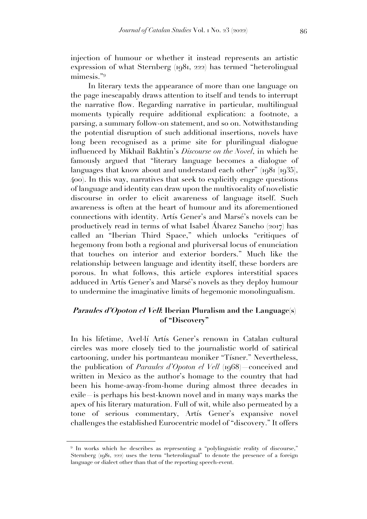injection of humour or whether it instead represents an artistic expression of what Sternberg (1981, 222) has termed "heterolingual mimesis."<sup>9</sup>

In literary texts the appearance of more than one language on the page inescapably draws attention to itself and tends to interrupt the narrative flow. Regarding narrative in particular, multilingual moments typically require additional explication: a footnote, a parsing, a summary follow-on statement, and so on. Notwithstanding the potential disruption of such additional insertions, novels have long been recognised as a prime site for plurilingual dialogue influenced by Mikhail Bakhtin's *Discourse on the Novel*, in which he famously argued that "literary language becomes a dialogue of languages that know about and understand each other" (1981 [1935], 400). In this way, narratives that seek to explicitly engage questions of language and identity can draw upon the multivocality of novelistic discourse in order to elicit awareness of language itself. Such awareness is often at the heart of humour and its aforementioned connections with identity. Artís Gener's and Marsé's novels can be productively read in terms of what Isabel Álvarez Sancho (2017) has called an "Iberian Third Space," which unlocks "critiques of hegemony from both a regional and pluriversal locus of enunciation that touches on interior and exterior borders." Much like the relationship between language and identity itself, these borders are porous. In what follows, this article explores interstitial spaces adduced in Artís Gener's and Marsé's novels as they deploy humour to undermine the imaginative limits of hegemonic monolingualism.

## **Paraules d'Opoton el Vell: Iberian Pluralism and the Language(s) of "Discovery"**

In his lifetime, Avel·lí Artís Gener's renown in Catalan cultural circles was more closely tied to the journalistic world of satirical cartooning, under his portmanteau moniker "Tísner." Nevertheless, the publication of *Paraules d'Opoton el Vell* (1968)—conceived and written in Mexico as the author's homage to the country that had been his home-away-from-home during almost three decades in exile—is perhaps his best-known novel and in many ways marks the apex of his literary maturation. Full of wit, while also permeated by a tone of serious commentary, Artís Gener's expansive novel challenges the established Eurocentric model of "discovery." It offers

<sup>9</sup> In works which he describes as representing a "polylinguistic reality of discourse," Sternberg (1981, 222) uses the term "heterolingual" to denote the presence of a foreign language or dialect other than that of the reporting speech-event.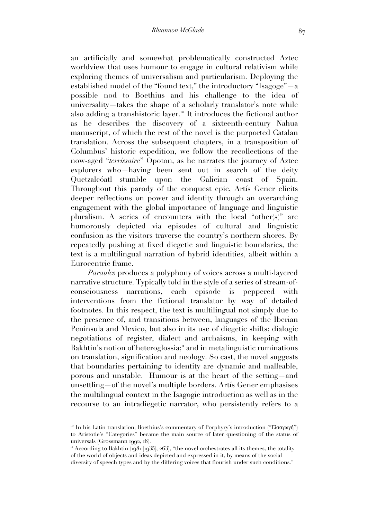an artificially and somewhat problematically constructed Aztec worldview that uses humour to engage in cultural relativism while exploring themes of universalism and particularism. Deploying the established model of the "found text," the introductory "Isagoge"—a possible nod to Boethius and his challenge to the idea of universality—takes the shape of a scholarly translator's note while also adding a transhistoric layer.<sup>10</sup> It introduces the fictional author as he describes the discovery of a sixteenth-century Nahua manuscript, of which the rest of the novel is the purported Catalan translation. Across the subsequent chapters, in a transposition of Columbus' historic expedition, we follow the recollections of the now-aged "*terrissaire*" Opoton, as he narrates the journey of Aztec explorers who—having been sent out in search of the deity Quetzalcóatl—stumble upon the Galician coast of Spain. Throughout this parody of the conquest epic, Artís Gener elicits deeper reflections on power and identity through an overarching engagement with the global importance of language and linguistic pluralism. A series of encounters with the local "other(s)" are humorously depicted via episodes of cultural and linguistic confusion as the visitors traverse the country's northern shores. By repeatedly pushing at fixed diegetic and linguistic boundaries, the text is a multilingual narration of hybrid identities, albeit within a Eurocentric frame.

*Paraules* produces a polyphony of voices across a multi-layered narrative structure. Typically told in the style of a series of stream-ofconsciousness narrations, each episode is peppered with interventions from the fictional translator by way of detailed footnotes. In this respect, the text is multilingual not simply due to the presence of, and transitions between, languages of the Iberian Peninsula and Mexico, but also in its use of diegetic shifts; dialogic negotiations of register, dialect and archaisms, in keeping with Bakhtin's notion of heteroglossia;" and in metalinguistic ruminations on translation, signification and neology. So cast, the novel suggests that boundaries pertaining to identity are dynamic and malleable, porous and unstable. Humour is at the heart of the setting—and unsettling—of the novel's multiple borders. Artís Gener emphasises the multilingual context in the Isagogic introduction as well as in the recourse to an intradiegetic narrator, who persistently refers to a

<sup>&</sup>lt;sup>10</sup> In his Latin translation, Boethius's commentary of Porphyry's introduction ("Είσαγωγή") to Aristotle's "Categories" became the main source of later questioning of the status of universals (Grossmann 1992, 18).

<sup>&</sup>lt;sup>11</sup> According to Bakhtin (1981 [1935], 263), "the novel orchestrates all its themes, the totality of the world of objects and ideas depicted and expressed in it, by means of the social diversity of speech types and by the differing voices that flourish under such conditions."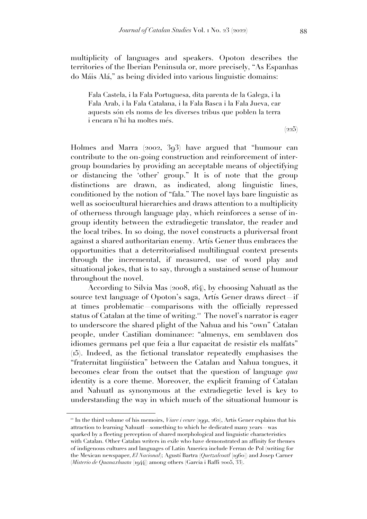multiplicity of languages and speakers. Opoton describes the territories of the Iberian Peninsula or, more precisely, "As Espanhas do Máis Alá," as being divided into various linguistic domains:

Fala Castela, i la Fala Portuguesa, dita parenta de la Galega, i la Fala Arab, i la Fala Catalana, i la Fala Basca i la Fala Jueva, car aquests són els noms de les diverses tribus que poblen la terra i encara n'hi ha moltes més.

 $(225)$ 

Holmes and Marra (2002, 393) have argued that "humour can contribute to the on-going construction and reinforcement of intergroup boundaries by providing an acceptable means of objectifying or distancing the 'other' group." It is of note that the group distinctions are drawn, as indicated, along linguistic lines, conditioned by the notion of "fala." The novel lays bare linguistic as well as sociocultural hierarchies and draws attention to a multiplicity of otherness through language play, which reinforces a sense of ingroup identity between the extradiegetic translator, the reader and the local tribes. In so doing, the novel constructs a pluriversal front against a shared authoritarian enemy. Artís Gener thus embraces the opportunities that a deterritorialised multilingual context presents through the incremental, if measured, use of word play and situational jokes, that is to say, through a sustained sense of humour throughout the novel.

According to Silvia Mas (2008, 164), by choosing Nahuatl as the source text language of Opoton's saga, Artís Gener draws direct if at times problematic—comparisons with the officially repressed status of Catalan at the time of writing. <sup>12</sup> The novel's narrator is eager to underscore the shared plight of the Nahua and his "own" Catalan people, under Castilian dominance: "almenys, em semblaven dos idiomes germans pel que feia a llur capacitat de resistir els malfats" (15). Indeed, as the fictional translator repeatedly emphasises the "fraternitat lingüística" between the Catalan and Nahua tongues, it becomes clear from the outset that the question of language *qua* identity is a core theme. Moreover, the explicit framing of Catalan and Nahuatl as synonymous at the extradiegetic level is key to understanding the way in which much of the situational humour is

<sup>12</sup> In the third volume of his memoirs, *Viure i veure* (1991, 262), Artís Gener explains that his attraction to learning Nahuatl—something to which he dedicated many years—was sparked by a fleeting perception of shared morphological and linguistic characteristics with Catalan. Other Catalan writers in exile who have demonstrated an affinity for themes of indigenous cultures and languages of Latin America include Ferran de Pol (writing for the Mexican newspaper, *El Nacional*); Agustí Bartra (*Quetzalcoatl* [1960]) and Josep Carner (*Misterio de Quanaxhuata* [1944]) among others (Garcia i Raffi 2005, 33).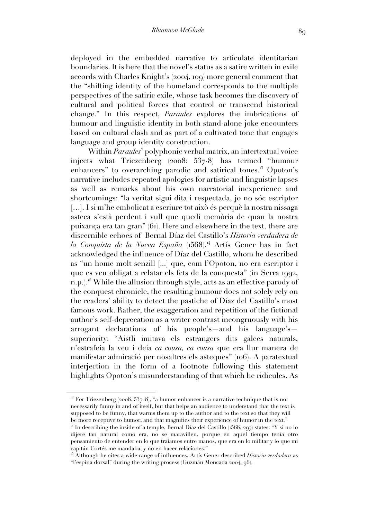deployed in the embedded narrative to articulate identitarian boundaries. It is here that the novel's status as a satire written in exile accords with Charles Knight's (2004, 109) more general comment that the "shifting identity of the homeland corresponds to the multiple perspectives of the satiric exile, whose task becomes the discovery of cultural and political forces that control or transcend historical change." In this respect, *Paraules* explores the imbrications of humour and linguistic identity in both stand-alone joke encounters based on cultural clash and as part of a cultivated tone that engages language and group identity construction.

Within *Paraules*' polyphonic verbal matrix, an intertextual voice injects what Triezenberg (2008: 537-8) has termed "humour enhancers" to overarching parodic and satirical tones.<sup>13</sup> Opoton's narrative includes repeated apologies for artistic and linguistic lapses as well as remarks about his own narratorial inexperience and shortcomings: "la veritat sigui dita i respectada, jo no sóc escriptor [...]. I si m'he embolicat a escriure tot això és perquè la nostra nissaga asteca s'està perdent i vull que quedi memòria de quan la nostra puixança era tan gran" (61). Here and elsewhere in the text, there are discernible echoes of Bernal Díaz del Castillo's *Historia verdadera de la Conquista de la Nueva España* (1568). <sup>14</sup> Artís Gener has in fact acknowledged the influence of Díaz del Castillo, whom he described as "un home molt senzill [...] que, com l'Opoton, no era escriptor i que es veu obligat a relatar els fets de la conquesta" (in Serra 1992, n.p.). <sup>15</sup> While the allusion through style, acts as an effective parody of the conquest chronicle, the resulting humour does not solely rely on the readers' ability to detect the pastiche of Díaz del Castillo's most famous work. Rather, the exaggeration and repetition of the fictional author's self-deprecation as a writer contrast incongruously with his arrogant declarations of his people's and his language's superiority: "Aistli imitava els estrangers dits galecs naturals, n'estrafeia la veu i deia *ca cousa, ca cousa* que era llur manera de manifestar admiració per nosaltres els asteques" (106). A paratextual interjection in the form of a footnote following this statement highlights Opoton's misunderstanding of that which he ridicules. As

<sup>13</sup> For Triezenberg (2008, 537–8), "a humor enhancer is a narrative technique that is not necessarily funny in and of itself, but that helps an audience to understand that the text is supposed to be funny, that warms them up to the author and to the text so that they will be more receptive to humor, and that magnifies their experience of humor in the text." <sup>14</sup> In describing the inside of a temple, Bernal Díaz del Castillo (1568, 297) states: "Y si no lo dijere tan natural como era, no se maravillen, porque en aquel tiempo tenía otro

pensamiento de entender en lo que traíamos entre manos, que era en lo militar y lo que mi capitán Cortés me mandaba, y no en hacer relaciones."

<sup>&</sup>lt;sup>5</sup> Although he cites a wide range of influences, Artís Gener described *Historia verdadera* as "l'espina dorsal" during the writing process (Guzmán Moncada 2004, 96).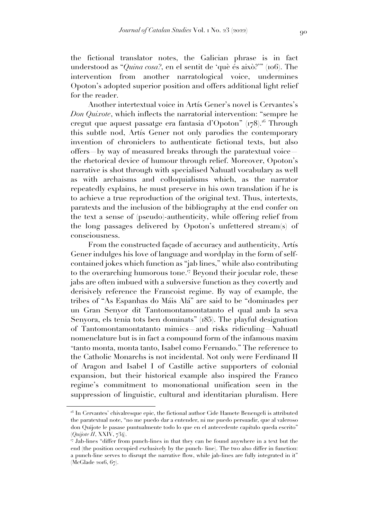the fictional translator notes, the Galician phrase is in fact understood as "*Quina cosa?*, en el sentit de 'què és això?'" (106). The intervention from another narratological voice, undermines Opoton's adopted superior position and offers additional light relief for the reader.

Another intertextual voice in Artís Gener's novel is Cervantes's *Don Quixote*, which inflects the narratorial intervention: "sempre he cregut que aquest passatge era fantasia d'Opoton"  $(178)$ .<sup>16</sup> Through this subtle nod, Artís Gener not only parodies the contemporary invention of chroniclers to authenticate fictional texts, but also offers—by way of measured breaks through the paratextual voice the rhetorical device of humour through relief. Moreover, Opoton's narrative is shot through with specialised Nahuatl vocabulary as well as with archaisms and colloquialisms which, as the narrator repeatedly explains, he must preserve in his own translation if he is to achieve a true reproduction of the original text. Thus, intertexts, paratexts and the inclusion of the bibliography at the end confer on the text a sense of (pseudo)-authenticity, while offering relief from the long passages delivered by Opoton's unfettered stream(s) of consciousness.

From the constructed façade of accuracy and authenticity, Artís Gener indulges his love of language and wordplay in the form of selfcontained jokes which function as "jab lines," while also contributing to the overarching humorous tone.<sup>17</sup> Beyond their jocular role, these jabs are often imbued with a subversive function as they covertly and derisively reference the Francoist regime. By way of example, the tribes of "As Espanhas do Máis Alá" are said to be "dominades per un Gran Senyor dit Tantomontamontatanto el qual amb la seva Senyora, els tenia tots ben dominats" (185). The playful designation of Tantomontamontatanto mimics—and risks ridiculing—Nahuatl nomenclature but is in fact a compound form of the infamous maxim "tanto monta, monta tanto, Isabel como Fernando." The reference to the Catholic Monarchs is not incidental. Not only were Ferdinand II of Aragon and Isabel I of Castille active supporters of colonial expansion, but their historical example also inspired the Franco regime's commitment to mononational unification seen in the suppression of linguistic, cultural and identitarian pluralism. Here

 $16$  In Cervantes' chivalresque epic, the fictional author Cide Hamete Benengeli is attributed the paratextual note, "no me puedo dar a entender, ni me puedo persuadir, que al valeroso don Quijote le pasase puntualmente todo lo que en el antecedente capítulo queda escrito" (*Quijote II*, XXIV, 734).

<sup>17</sup> Jab-lines "differ from punch-lines in that they can be found anywhere in a text but the end (the position occupied exclusively by the punch- line). The two also differ in function: a punch-line serves to disrupt the narrative flow, while jab-lines are fully integrated in it" (McGlade 2016, 67).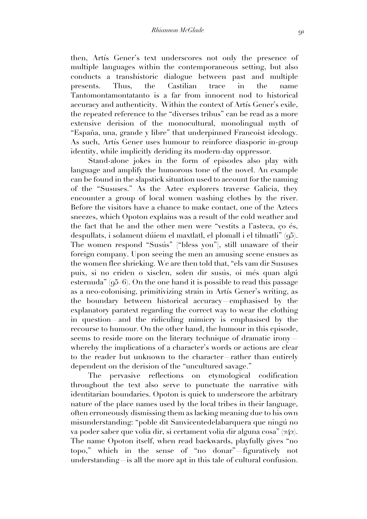then, Artís Gener's text underscores not only the presence of multiple languages within the contemporaneous setting, but also conducts a transhistoric dialogue between past and multiple presents. Thus, the Castilian trace in the name Tantomontamontatanto is a far from innocent nod to historical accuracy and authenticity. Within the context of Artís Gener's exile, the repeated reference to the "diverses tribus" can be read as a more extensive derision of the monocultural, monolingual myth of "España, una, grande y libre" that underpinned Francoist ideology. As such, Artís Gener uses humour to reinforce diasporic in-group identity, while implicitly deriding its modern-day oppressor.

Stand-alone jokes in the form of episodes also play with language and amplify the humorous tone of the novel. An example can be found in the slapstick situation used to account for the naming of the "Sususes." As the Aztec explorers traverse Galicia, they encounter a group of local women washing clothes by the river. Before the visitors have a chance to make contact, one of the Aztecs sneezes, which Opoton explains was a result of the cold weather and the fact that he and the other men were "vestits a l'asteca, ço és, despullats, i solament dúiem el maxtlatl, el plomall i el tilmatli" (95). The women respond "Susús" ["bless you"], still unaware of their foreign company. Upon seeing the men an amusing scene ensues as the women flee shrieking. We are then told that, "els vam dir Sususes puix, si no criden o xisclen, solen dir susús, oi més quan algú esternuda"  $(95–6)$ . On the one hand it is possible to read this passage as a neo-colonising, primitivizing strain in Artís Gener's writing, as the boundary between historical accuracy—emphasised by the explanatory paratext regarding the correct way to wear the clothing in question—and the ridiculing mimicry is emphasised by the recourse to humour. On the other hand, the humour in this episode, seems to reside more on the literary technique of dramatic irony whereby the implications of a character's words or actions are clear to the reader but unknown to the character—rather than entirely dependent on the derision of the "uncultured savage."

The pervasive reflections on etymological codification throughout the text also serve to punctuate the narrative with identitarian boundaries. Opoton is quick to underscore the arbitrary nature of the place names used by the local tribes in their language, often erroneously dismissing them as lacking meaning due to his own misunderstanding: "poble dit Sanvicentedelabarquera que ningú no va poder saber que volia dir, si certament volia dir alguna cosa" (242). The name Opoton itself, when read backwards, playfully gives "no topo," which in the sense of "no donar"—figuratively not understanding—is all the more apt in this tale of cultural confusion.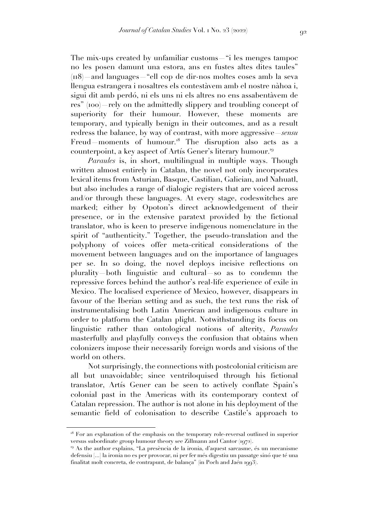The mix-ups created by unfamiliar customs—"i les menges tampoc no les posen damunt una estora, ans en fustes altes dites taules" (118)—and languages—"ell cop de dir-nos moltes coses amb la seva llengua estrangera i nosaltres els contestàvem amb el nostre nàhoa i, sigui dit amb perdó, ni els uns ni els altres no ens assabentàvem de res" (100)—rely on the admittedly slippery and troubling concept of superiority for their humour. However, these moments are temporary, and typically benign in their outcomes, and as a result redress the balance, by way of contrast, with more aggressive—*sensu*  Freud moments of humour.<sup>18</sup> The disruption also acts as a counterpoint, a key aspect of Artís Gener's literary humour.<sup>19</sup>

*Paraules* is, in short, multilingual in multiple ways. Though written almost entirely in Catalan, the novel not only incorporates lexical items from Asturian, Basque, Castilian, Galician, and Nahuatl, but also includes a range of dialogic registers that are voiced across and/or through these languages. At every stage, codeswitches are marked; either by Opoton's direct acknowledgement of their presence, or in the extensive paratext provided by the fictional translator, who is keen to preserve indigenous nomenclature in the spirit of "authenticity." Together, the pseudo-translation and the polyphony of voices offer meta-critical considerations of the movement between languages and on the importance of languages per se. In so doing, the novel deploys incisive reflections on plurality—both linguistic and cultural—so as to condemn the repressive forces behind the author's real-life experience of exile in Mexico. The localised experience of Mexico, however, disappears in favour of the Iberian setting and as such, the text runs the risk of instrumentalising both Latin American and indigenous culture in order to platform the Catalan plight. Notwithstanding its focus on linguistic rather than ontological notions of alterity, *Paraules* masterfully and playfully conveys the confusion that obtains when colonizers impose their necessarily foreign words and visions of the world on others.

Not surprisingly, the connections with postcolonial criticism are all but unavoidable; since ventriloquised through his fictional translator, Artís Gener can be seen to actively conflate Spain's colonial past in the Americas with its contemporary context of Catalan repression. The author is not alone in his deployment of the semantic field of colonisation to describe Castile's approach to

 $18$  For an explanation of the emphasis on the temporary role-reversal outlined in superior versus subordinate group humour theory see Zillmann and Cantor (1972).

<sup>&</sup>lt;sup>19</sup> As the author explains, "La presència de la ironia, d'aquest sarcasme, és un mecanisme defensiu [...] la ironia no es per provocar, ni per fer més digestiu un passatge sinó que té una finalitat molt concreta, de contrapunt, de balança" (in Poch and Jaén 1993).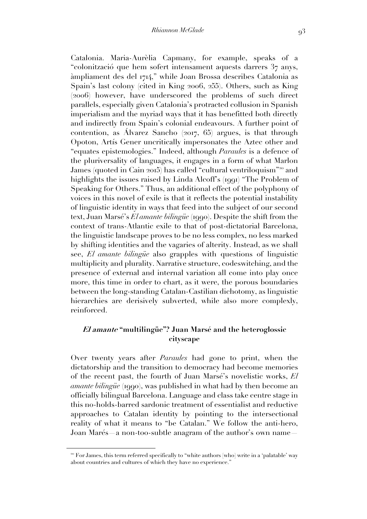Catalonia. Maria-Aurèlia Capmany, for example, speaks of a "colonització que hem sofert intensament aquests darrers 37 anys, àmpliament des del 1714," while Joan Brossa describes Catalonia as Spain's last colony (cited in King 2006, 255). Others, such as King (2006) however, have underscored the problems of such direct parallels, especially given Catalonia's protracted collusion in Spanish imperialism and the myriad ways that it has benefitted both directly and indirectly from Spain's colonial endeavours. A further point of contention, as Álvarez Sancho (2017, 65) argues, is that through Opoton, Artís Gener uncritically impersonates the Aztec other and "equates epistemologies." Indeed, although *Paraules* is a defence of the pluriversality of languages, it engages in a form of what Marlon James (quoted in Cain 2015) has called "cultural ventriloquism"<sup>220</sup> and highlights the issues raised by Linda Alcoff's (1991) "The Problem of Speaking for Others." Thus, an additional effect of the polyphony of voices in this novel of exile is that it reflects the potential instability of linguistic identity in ways that feed into the subject of our second text, Juan Marsé's *El amante bilingüe* (1990). Despite the shift from the context of trans-Atlantic exile to that of post-dictatorial Barcelona, the linguistic landscape proves to be no less complex, no less marked by shifting identities and the vagaries of alterity. Instead, as we shall see, *El amante bilingüe* also grapples with questions of linguistic multiplicity and plurality. Narrative structure, codeswitching, and the presence of external and internal variation all come into play once more, this time in order to chart, as it were, the porous boundaries between the long-standing Catalan-Castilian dichotomy, as linguistic hierarchies are derisively subverted, while also more complexly, reinforced.

# **El amante "multilingüe"? Juan Marsé and the heteroglossic cityscape**

Over twenty years after *Paraules* had gone to print, when the dictatorship and the transition to democracy had become memories of the recent past, the fourth of Juan Marsé's novelistic works, *El amante bilingüe* (1990), was published in what had by then become an officially bilingual Barcelona. Language and class take centre stage in this no-holds-barred sardonic treatment of essentialist and reductive approaches to Catalan identity by pointing to the intersectional reality of what it means to "be Catalan." We follow the anti-hero, Joan Marés—a non-too-subtle anagram of the author's own name—

<sup>&</sup>lt;sup>20</sup> For James, this term referred specifically to "white authors [who] write in a 'palatable' way about countries and cultures of which they have no experience."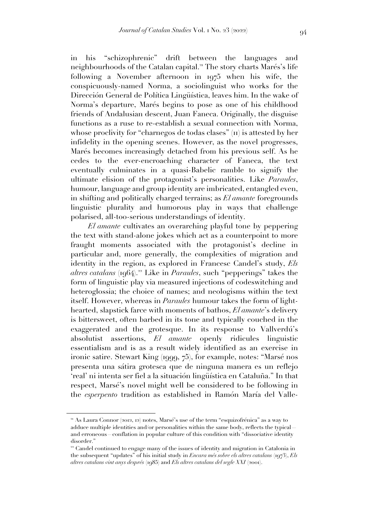in his "schizophrenic" drift between the languages and neighbourhoods of the Catalan capital.<sup>21</sup> The story charts Marés's life following a November afternoon in 1975 when his wife, the conspicuously-named Norma, a sociolinguist who works for the Dirección General de Política Lingüística, leaves him. In the wake of Norma's departure, Marés begins to pose as one of his childhood friends of Andalusian descent, Juan Faneca. Originally, the disguise functions as a ruse to re-establish a sexual connection with Norma, whose proclivity for "charnegos de todas clases" (II) is attested by her infidelity in the opening scenes. However, as the novel progresses, Marés becomes increasingly detached from his previous self. As he cedes to the ever-encroaching character of Faneca, the text eventually culminates in a quasi-Babelic ramble to signify the ultimate elision of the protagonist's personalities. Like *Paraules*, humour, language and group identity are imbricated, entangled even, in shifting and politically charged terrains; as *El amante* foregrounds linguistic plurality and humorous play in ways that challenge polarised, all-too-serious understandings of identity.

*El amante* cultivates an overarching playful tone by peppering the text with stand-alone jokes which act as a counterpoint to more fraught moments associated with the protagonist's decline in particular and, more generally, the complexities of migration and identity in the region, as explored in Francesc Candel's study, *Els altres catalans* (1964).<sup>22</sup> Like in *Paraules*, such "pepperings" takes the form of linguistic play via measured injections of codeswitching and heteroglossia; the choice of names; and neologisms within the text itself. However, whereas in *Paraules* humour takes the form of lighthearted, slapstick farce with moments of bathos, *El amante*'s delivery is bittersweet, often barbed in its tone and typically couched in the exaggerated and the grotesque. In its response to Vallverdú's absolutist assertions, *El amante* openly ridicules linguistic essentialism and is as a result widely identified as an exercise in ironic satire. Stewart King (1999, 75), for example, notes: "Marsé nos presenta una sátira grotesca que de ninguna manera es un reflejo 'real' ni intenta ser fiel a la situación lingüística en Cataluña." In that respect, Marsé's novel might well be considered to be following in the *esperpento* tradition as established in Ramón María del Valle-

<sup>21</sup> As Laura Connor (2012, 12) notes, Marsé's use of the term "esquizofrénica" as a way to adduce multiple identities and/or personalities within the same body, reflects the typical and erroneous—conflation in popular culture of this condition with "dissociative identity disorder."

<sup>&</sup>lt;sup>22</sup> Candel continued to engage many of the issues of identity and migration in Catalonia in the subsequent "updates" of his initial study in *Encara més sobre els altres catalans* (1973), *Els altres catalans vint anys després* (1985) and *Els altres catalans del segle XXI* (2001).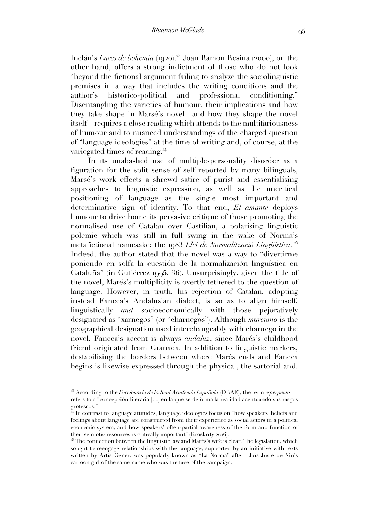Inclán's *Luces de bohemia* (1920).<sup>23</sup> Joan Ramon Resina (2000), on the other hand, offers a strong indictment of those who do not look "beyond the fictional argument failing to analyze the sociolinguistic premises in a way that includes the writing conditions and the author's historico-political and professional conditioning." Disentangling the varieties of humour, their implications and how they take shape in Marsé's novel—and how they shape the novel itself—requires a close reading which attends to the multifariousness of humour and to nuanced understandings of the charged question of "language ideologies" at the time of writing and, of course, at the variegated times of reading.<sup>24</sup>

In its unabashed use of multiple-personality disorder as a figuration for the split sense of self reported by many bilinguals, Marsé's work effects a shrewd satire of purist and essentialising approaches to linguistic expression, as well as the uncritical positioning of language as the single most important and determinative sign of identity. To that end, *El amante* deploys humour to drive home its pervasive critique of those promoting the normalised use of Catalan over Castilian, a polarising linguistic polemic which was still in full swing in the wake of Norma's metafictional namesake; the 1983 *Llei de Normalització Lingüística*. <sup>25</sup> Indeed, the author stated that the novel was a way to "divertirme poniendo en solfa la cuestión de la normalización lingüística en Cataluña" (in Gutiérrez 1995, 36). Unsurprisingly, given the title of the novel, Marés's multiplicity is overtly tethered to the question of language. However, in truth, his rejection of Catalan, adopting instead Faneca's Andalusian dialect, is so as to align himself, linguistically *and* socioeconomically with those pejoratively designated as "xarnegos" (or "charnegos"). Although *murciano* is the geographical designation used interchangeably with charnego in the novel, Faneca's accent is always *andaluz*, since Marés's childhood friend originated from Granada. In addition to linguistic markers, destabilising the borders between where Marés ends and Faneca begins is likewise expressed through the physical, the sartorial and,

<sup>23</sup> According to the *Diccionario de la Real Academia Española* (DRAE), the term *esperpento*

refers to a "concepción literaria […] en la que se deforma la realidad acentuando sus rasgos grotescos."

<sup>&</sup>lt;sup>24</sup> In contrast to language attitudes, language ideologies focus on "how speakers' beliefs and feelings about language are constructed from their experience as social actors in a political economic system, and how speakers' often-partial awareness of the form and function of their semiotic resources is critically important" (Kroskrity 2016).

<sup>&</sup>lt;sup>25</sup> The connection between the linguistic law and Marés's wife is clear. The legislation, which sought to reengage relationships with the language, supported by an initiative with texts written by Artís Gener, was popularly known as "La Norma" after Lluís Juste de Nin's cartoon girl of the same name who was the face of the campaign.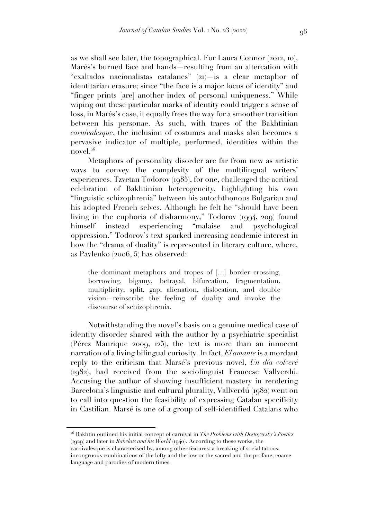as we shall see later, the topographical. For Laura Connor (2012, 10), Marés's burned face and hands—resulting from an altercation with "exaltados nacionalistas catalanes" (21)—is a clear metaphor of identitarian erasure; since "the face is a major locus of identity" and "finger prints [are] another index of personal uniqueness." While wiping out these particular marks of identity could trigger a sense of loss, in Marés's case, it equally frees the way for a smoother transition between his personae. As such, with traces of the Bakhtinian *carnivalesque*, the inclusion of costumes and masks also becomes a pervasive indicator of multiple, performed, identities within the novel.<sup>26</sup>

Metaphors of personality disorder are far from new as artistic ways to convey the complexity of the multilingual writers' experiences. Tzvetan Todorov (1985), for one, challenged the acritical celebration of Bakhtinian heterogeneity, highlighting his own "linguistic schizophrenia" between his autochthonous Bulgarian and his adopted French selves. Although he felt he "should have been living in the euphoria of disharmony," Todorov (1994, 209) found himself instead experiencing "malaise and psychological oppression." Todorov's text sparked increasing academic interest in how the "drama of duality" is represented in literary culture, where, as Pavlenko (2006, 5) has observed:

the dominant metaphors and tropes of […] border crossing, borrowing, bigamy, betrayal, bifurcation, fragmentation, multiplicity, split, gap, alienation, dislocation, and double vision—reinscribe the feeling of duality and invoke the discourse of schizophrenia.

Notwithstanding the novel's basis on a genuine medical case of identity disorder shared with the author by a psychiatric specialist (Pérez Manrique 2009, 125), the text is more than an innocent narration of a living bilingual curiosity. In fact, *El amante* is a mordant reply to the criticism that Marsé's previous novel, *Un día volveré* (1982), had received from the sociolinguist Francesc Vallverdú. Accusing the author of showing insufficient mastery in rendering Barcelona's linguistic and cultural plurality, Vallverdú (1982) went on to call into question the feasibility of expressing Catalan specificity in Castilian. Marsé is one of a group of self-identified Catalans who

<sup>26</sup> Bakhtin outlined his initial concept of carnival in *The Problems with Dostoyevsky's Poetics* (1929) and later in *Rabelais and his World* (1940). According to these works, the carnivalesque is characterised by, among other features: a breaking of social taboos;

incongruous combinations of the lofty and the low or the sacred and the profane; coarse language and parodies of modern times.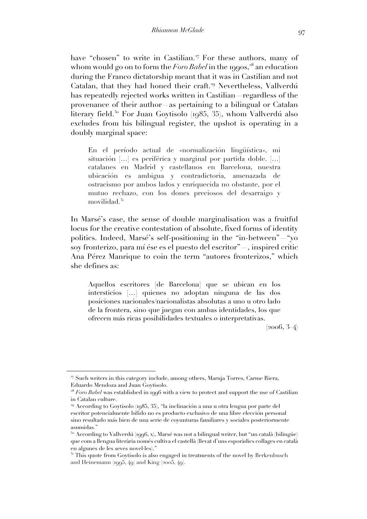have "chosen" to write in Castilian.<sup>27</sup> For these authors, many of whom would go on to form the *Foro Babel* in the 1990s,<sup>28</sup> an education during the Franco dictatorship meant that it was in Castilian and not Catalan, that they had honed their craft. <sup>29</sup> Nevertheless, Vallverdú has repeatedly rejected works written in Castilian—regardless of the provenance of their author—as pertaining to a bilingual or Catalan literary field. <sup>30</sup> For Juan Goytisolo (1985, 35), whom Vallverdú also excludes from his bilingual register, the upshot is operating in a doubly marginal space:

En el período actual de «normalización lingüística», mi situación […] es periférica y marginal por partida doble. […] catalanes en Madrid y castellanos en Barcelona, nuestra ubicación es ambigua y contradictoria, amenazada de ostracismo por ambos lados y enriquecida no obstante, por el mutuo rechazo, con los dones preciosos del desarraigo y movilidad.<sup>31</sup>

In Marsé's case, the sense of double marginalisation was a fruitful locus for the creative contestation of absolute, fixed forms of identity politics. Indeed, Marsé's self-positioning in the "in-between"—"yo soy fronterizo, para mí ése es el puesto del escritor"—, inspired critic Ana Pérez Manrique to coin the term "autores fronterizos," which she defines as:

Aquellos escritores [de Barcelona] que se ubican en los intersticios […] quienes no adoptan ninguna de las dos posiciones nacionales/nacionalistas absolutas a uno u otro lado de la frontera, sino que juegan con ambas identidades, los que ofrecen más ricas posibilidades textuales o interpretativas.

 $(2006, 34)$ 

<sup>&</sup>lt;sup>27</sup> Such writers in this category include, among others, Maruja Torres, Carme Riera, Eduardo Mendoza and Juan Goytisolo.

<sup>&</sup>lt;sup>28</sup> *Foro Babel* was established in 1996 with a view to protect and support the use of Castilian in Catalan culture.

<sup>29</sup> According to Goytisolo (1985, 35), "la inclinación a una u otra lengua por parte del escritor potencialmente bífido no es producto exclusivo de una libre elección personal sino resultado más bien de una serie de coyunturas familiares y sociales posteriormente asumidas."

 $30$  According to Vallverdú (1996, x), Marsé was not a bilingual writer, but "un català (bilingüe) que com a llengua literària només cultiva el castellà (llevat d'uns esporàdics collages en català en algunes de les seves novel·les)."

<sup>&</sup>lt;sup>31</sup> This quote from Goytisolo is also engaged in treatments of the novel by Berkenbusch and Heinemann (1995, 49) and King (2005, 49).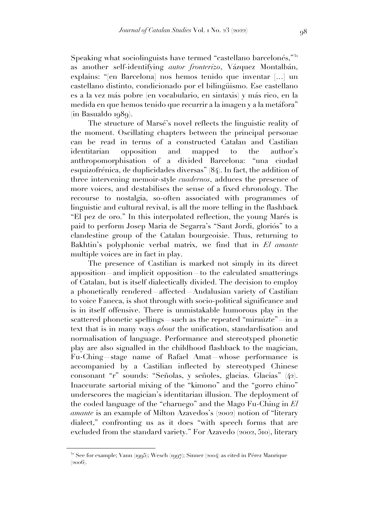Speaking what sociolinguists have termed "castellano barcelonés,"<sup>32</sup> as another self-identifying *autor fronterizo*, Vázquez Montalbán, explains: "[en Barcelona] nos hemos tenido que inventar […] un castellano distinto, condicionado por el bilingüismo. Ese castellano es a la vez más pobre (en vocabulario, en sintaxis) y más rico, en la medida en que hemos tenido que recurrir a la imagen y a la metáfora"  $(in$  Basualdo  $1989)$ .

The structure of Marsé's novel reflects the linguistic reality of the moment. Oscillating chapters between the principal personae can be read in terms of a constructed Catalan and Castilian identitarian opposition and mapped to the author's anthropomorphisation of a divided Barcelona: "una ciudad esquizofrénica, de duplicidades diversas" (84). In fact, the addition of three intervening memoir-style *cuadernos*, adduces the presence of more voices, and destabilises the sense of a fixed chronology. The recourse to nostalgia, so-often associated with programmes of linguistic and cultural revival, is all the more telling in the flashback "El pez de oro." In this interpolated reflection, the young Marés is paid to perform Josep Maria de Segarra's "Sant Jordi, gloriós" to a clandestine group of the Catalan bourgeoisie. Thus, returning to Bakhtin's polyphonic verbal matrix, we find that in *El amante* multiple voices are in fact in play.

The presence of Castilian is marked not simply in its direct apposition—and implicit opposition—to the calculated smatterings of Catalan, but is itself dialectically divided. The decision to employ a phonetically rendered—affected—Andalusian variety of Castilian to voice Faneca, is shot through with socio-political significance and is in itself offensive. There is unmistakable humorous play in the scattered phonetic spellings—such as the repeated "miraúzte"—in a text that is in many ways *about* the unification, standardisation and normalisation of language. Performance and stereotyped phonetic play are also signalled in the childhood flashback to the magician, Fu-Ching—stage name of Rafael Amat—whose performance is accompanied by a Castilian inflected by stereotyped Chinese consonant "r" sounds: "Señolas, y señoles, glacias. Glacias" (42). Inaccurate sartorial mixing of the "kimono" and the "gorro chino" underscores the magician's identitarian illusion. The deployment of the coded language of the "charnego" and the Mago Fu-Ching in *El amante* is an example of Milton Azavedos's (2002) notion of "literary dialect," confronting us as it does "with speech forms that are excluded from the standard variety." For Azavedo (2002, 510), literary

<sup>32</sup> See for example; Vann (1995); Wesch (1997); Sinner (2004) as cited in Pérez Manrique (2006).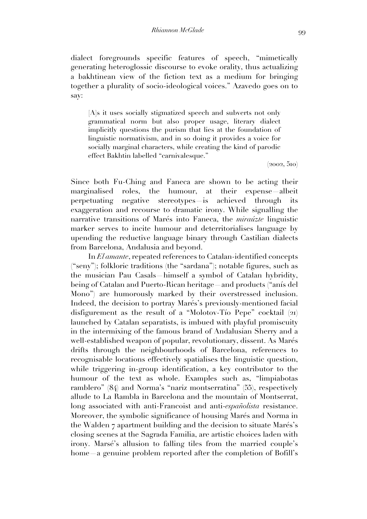dialect foregrounds specific features of speech, "mimetically generating heteroglossic discourse to evoke orality, thus actualizing a bakhtinean view of the fiction text as a medium for bringing together a plurality of socio-ideological voices." Azavedo goes on to say:

[A]s it uses socially stigmatized speech and subverts not only grammatical norm but also proper usage, literary dialect implicitly questions the purism that lies at the foundation of linguistic normativism, and in so doing it provides a voice for socially marginal characters, while creating the kind of parodic effect Bakhtin labelled "carnivalesque."

 $(2002, 510)$ 

Since both Fu-Ching and Faneca are shown to be acting their marginalised roles, the humour, at their expense—albeit perpetuating negative stereotypes—is achieved through its exaggeration and recourse to dramatic irony. While signalling the narrative transitions of Marés into Faneca, the *miraúzte* linguistic marker serves to incite humour and deterritorialises language by upending the reductive language binary through Castilian dialects from Barcelona, Andalusia and beyond.

In *El amante*, repeated references to Catalan-identified concepts ("seny"); folkloric traditions (the "sardana"); notable figures, such as the musician Pau Casals—himself a symbol of Catalan hybridity, being of Catalan and Puerto-Rican heritage—and products ("anís del Mono") are humorously marked by their overstressed inclusion. Indeed, the decision to portray Marés's previously-mentioned facial disfigurement as the result of a "Molotov-Tío Pepe" cocktail (21) launched by Catalan separatists, is imbued with playful promiscuity in the intermixing of the famous brand of Andalusian Sherry and a well-established weapon of popular, revolutionary, dissent. As Marés drifts through the neighbourhoods of Barcelona, references to recognisable locations effectively spatialises the linguistic question, while triggering in-group identification, a key contributor to the humour of the text as whole. Examples such as, "limpiabotas ramblero" (84) and Norma's "nariz montserratina" (55), respectively allude to La Rambla in Barcelona and the mountain of Montserrat, long associated with anti-Francoist and anti-*españolista* resistance. Moreover, the symbolic significance of housing Marés and Norma in the Walden 7 apartment building and the decision to situate Marés's closing scenes at the Sagrada Familia, are artistic choices laden with irony. Marsé's allusion to falling tiles from the married couple's home—a genuine problem reported after the completion of Bofill's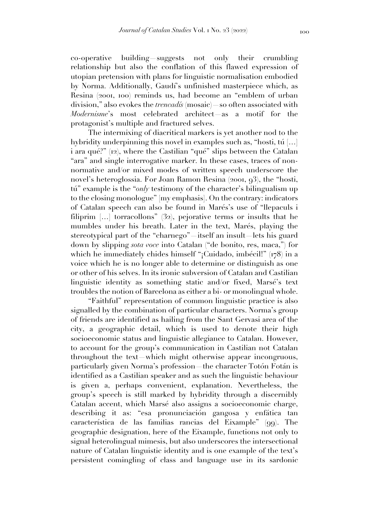co-operative building—suggests not only their crumbling relationship but also the conflation of this flawed expression of utopian pretension with plans for linguistic normalisation embodied by Norma. Additionally, Gaudí's unfinished masterpiece which, as Resina (2001, 100) reminds us, had become an "emblem of urban division," also evokes the *trencadís* (mosaic)—so often associated with *Modernisme*'s most celebrated architect—as a motif for the protagonist's multiple and fractured selves.

The intermixing of diacritical markers is yet another nod to the hybridity underpinning this novel in examples such as, "hosti, tú [...] i ara qué?" (12), where the Castilian "qué" slips between the Catalan "ara" and single interrogative marker. In these cases, traces of nonnormative and/or mixed modes of written speech underscore the novel's heteroglossia. For Joan Ramon Resina (2001, 93), the "hosti, tú" example is the "*only* testimony of the character's bilingualism up to the closing monologue" [my emphasis]. On the contrary: indicators of Catalan speech can also be found in Marés's use of "llepaculs i filiprim [...] torracollons" (32), pejorative terms or insults that he mumbles under his breath. Later in the text, Marés, playing the stereotypical part of the "charnego" itself an insult—lets his guard down by slipping *sota voce* into Catalan ("de bonito, res, maca,") for which he immediately chides himself "¡Cuidado, imbécil!" (178) in a voice which he is no longer able to determine or distinguish as one or other of his selves. In its ironic subversion of Catalan and Castilian linguistic identity as something static and/or fixed, Marsé's text troubles the notion of Barcelona as either a bi- or monolingual whole.

"Faithful" representation of common linguistic practice is also signalled by the combination of particular characters. Norma's group of friends are identified as hailing from the Sant Gervasi area of the city, a geographic detail, which is used to denote their high socioeconomic status and linguistic allegiance to Catalan. However, to account for the group's communication in Castilian not Catalan throughout the text—which might otherwise appear incongruous, particularly given Norma's profession—the character Totón Fotán is identified as a Castilian speaker and as such the linguistic behaviour is given a, perhaps convenient, explanation. Nevertheless, the group's speech is still marked by hybridity through a discernibly Catalan accent, which Marsé also assigns a socioeconomic charge, describing it as: "esa pronunciación gangosa y enfática tan característica de las familias rancias del Eixample" (99). The geographic designation, here of the Eixample, functions not only to signal heterolingual mimesis, but also underscores the intersectional nature of Catalan linguistic identity and is one example of the text's persistent comingling of class and language use in its sardonic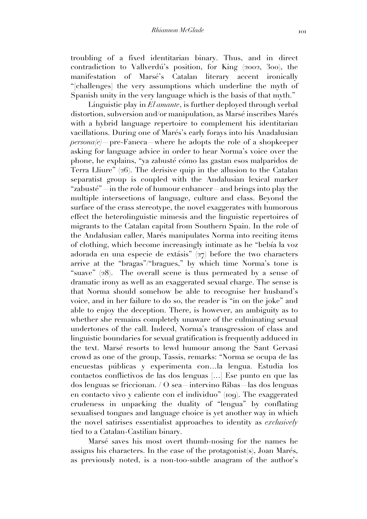troubling of a fixed identitarian binary. Thus, and in direct contradiction to Vallverdú's position, for King (2002, 300), the manifestation of Marsé's Catalan literary accent ironically "[challenges] the very assumptions which underline the myth of Spanish unity in the very language which is the basis of that myth."

Linguistic play in *El amante*, is further deployed through verbal distortion, subversion and/or manipulation, as Marsé inscribes Marés with a hybrid language repertoire to complement his identitarian vacillations. During one of Marés's early forays into his Anadalusian *persona(e)*—pre-Faneca—where he adopts the role of a shopkeeper asking for language advice in order to hear Norma's voice over the phone, he explains, "ya zabusté cómo las gastan esos malparidos de Terra Lliure" (26). The derisive quip in the allusion to the Catalan separatist group is coupled with the Andalusian lexical marker "zabusté"—in the role of humour enhancer—and brings into play the multiple intersections of language, culture and class. Beyond the surface of the crass stereotype, the novel exaggerates with humorous effect the heterolinguistic mimesis and the linguistic repertoires of migrants to the Catalan capital from Southern Spain. In the role of the Andalusian caller, Marés manipulates Norma into reciting items of clothing, which become increasingly intimate as he "bebía la voz adorada en una especie de extásis" (27) before the two characters arrive at the "bragas"/"bragues," by which time Norma's tone is "suave" (28). The overall scene is thus permeated by a sense of dramatic irony as well as an exaggerated sexual charge. The sense is that Norma should somehow be able to recognise her husband's voice, and in her failure to do so, the reader is "in on the joke" and able to enjoy the deception. There, is however, an ambiguity as to whether she remains completely unaware of the culminating sexual undertones of the call. Indeed, Norma's transgression of class and linguistic boundaries for sexual gratification is frequently adduced in the text. Marsé resorts to lewd humour among the Sant Gervasi crowd as one of the group, Tassis, remarks: "Norma se ocupa de las encuestas públicas y experimenta con…la lengua. Estudia los contactos conflictivos de las dos lenguas […] Ese punto en que las dos lenguas se friccionan. / O sea—intervino Ribas—las dos lenguas en contacto vivo y caliente con el individuo" (109). The exaggerated crudeness in unpacking the duality of "lengua" by conflating sexualised tongues and language choice is yet another way in which the novel satirises essentialist approaches to identity as *exclusively* tied to a Catalan-Castilian binary.

Marsé saves his most overt thumb-nosing for the names he assigns his characters. In the case of the protagonist(s), Joan Marés, as previously noted, is a non-too-subtle anagram of the author's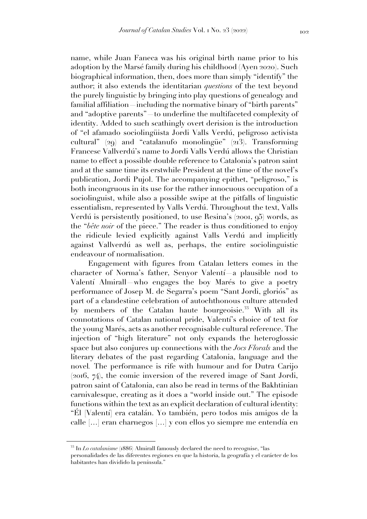name, while Juan Faneca was his original birth name prior to his adoption by the Marsé family during his childhood (Ayen 2020). Such biographical information, then, does more than simply "identify" the author; it also extends the identitarian *questions* of the text beyond the purely linguistic by bringing into play questions of genealogy and familial affiliation—including the normative binary of "birth parents" and "adoptive parents"—to underline the multifaceted complexity of identity. Added to such scathingly overt derision is the introduction of "el afamado sociolingüista Jordi Valls Verdú, peligroso activista cultural" (29) and "catalanufo monolingüe" (213). Transforming Francesc Vallverdú's name to Jordi Valls Verdú allows the Christian name to effect a possible double reference to Catalonia's patron saint and at the same time its erstwhile President at the time of the novel's publication, Jordi Pujol. The accompanying epithet, "peligroso," is both incongruous in its use for the rather innocuous occupation of a sociolinguist, while also a possible swipe at the pitfalls of linguistic essentialism, represented by Valls Verdú. Throughout the text, Valls Verdú is persistently positioned, to use Resina's (2001, 95) words, as the "*bête noir* of the piece." The reader is thus conditioned to enjoy the ridicule levied explicitly against Valls Verdú and implicitly against Vallverdú as well as, perhaps, the entire sociolinguistic endeavour of normalisation.

Engagement with figures from Catalan letters comes in the character of Norma's father, Senyor Valentí—a plausible nod to Valentí Almirall—who engages the boy Marés to give a poetry performance of Josep M. de Segarra's poem "Sant Jordi, gloriós" as part of a clandestine celebration of autochthonous culture attended by members of the Catalan haute bourgeoisie.<sup>33</sup> With all its connotations of Catalan national pride, Valentí's choice of text for the young Marés, acts as another recognisable cultural reference. The injection of "high literature" not only expands the heteroglossic space but also conjures up connections with the *Jocs Florals* and the literary debates of the past regarding Catalonia, language and the novel*.* The performance is rife with humour and for Dutra Carijo (2016, 74), the comic inversion of the revered image of Sant Jordi, patron saint of Catalonia, can also be read in terms of the Bakhtinian carnivalesque, creating as it does a "world inside out." The episode functions within the text as an explicit declaration of cultural identity: "Él [Valentí] era catalán. Yo también, pero todos mis amigos de la calle […] eran charnegos […] y con ellos yo siempre me entendía en

<sup>&</sup>lt;sup>33</sup> In *Lo catalanisme* (1886) Almirall famously declared the need to recognise, "las personalidades de las diferentes regiones en que la historia, la geografía y el carácter de los habitantes han dividido la península."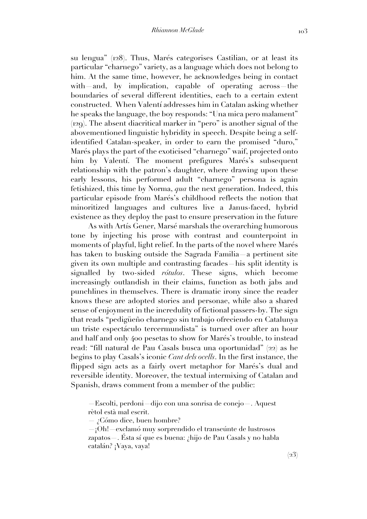su lengua" (128). Thus, Marés categorises Castilian, or at least its particular "charnego" variety, as a language which does not belong to him. At the same time, however, he acknowledges being in contact with and, by implication, capable of operating across the boundaries of several different identities, each to a certain extent constructed. When Valentí addresses him in Catalan asking whether he speaks the language, the boy responds: "Una mica pero malament" (129). The absent diacritical marker in "pero" is another signal of the abovementioned linguistic hybridity in speech. Despite being a selfidentified Catalan-speaker, in order to earn the promised "duro," Marés plays the part of the exoticised "charnego" waif, projected onto him by Valentí. The moment prefigures Marés's subsequent relationship with the patron's daughter, where drawing upon these early lessons, his performed adult "charnego" persona is again fetishized, this time by Norma, *qua* the next generation. Indeed, this particular episode from Marés's childhood reflects the notion that minoritized languages and cultures live a Janus-faced, hybrid existence as they deploy the past to ensure preservation in the future

As with Artís Gener, Marsé marshals the overarching humorous tone by injecting his prose with contrast and counterpoint in moments of playful, light relief. In the parts of the novel where Marés has taken to busking outside the Sagrada Familia—a pertinent site given its own multiple and contrasting facades—his split identity is signalled by two-sided *rótulos*. These signs, which become increasingly outlandish in their claims, function as both jabs and punchlines in themselves. There is dramatic irony since the reader knows these are adopted stories and personae, while also a shared sense of enjoyment in the incredulity of fictional passers-by. The sign that reads "pedigüeño charnego sin trabajo ofreciendo en Catalunya un triste espectáculo tercermundista" is turned over after an hour and half and only 400 pesetas to show for Marés's trouble, to instead read: "fill natural de Pau Casals busca una oportunidad" (22) as he begins to play Casals's iconic *Cant dels ocells*. In the first instance, the flipped sign acts as a fairly overt metaphor for Marés's dual and reversible identity. Moreover, the textual intermixing of Catalan and Spanish, draws comment from a member of the public:

—Escolti, perdoni—dijo con una sonrisa de conejo—. Aquest rètol està mal escrit.

— ¿Cómo dice, buen hombre?

—¡Oh!—exclamó muy sorprendido el transeúnte de lustrosos zapatos—. Ésta sí que es buena: ¿hijo de Pau Casals y no habla catalán? ¡Vaya, vaya!

 $(23)$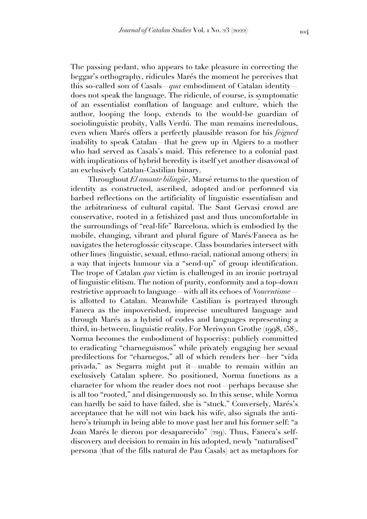The passing pedant, who appears to take pleasure in correcting the beggar's orthography, ridicules Marés the moment he perceives that this so-called son of Casals—*qua* embodiment of Catalan identity does not speak the language. The ridicule, of course, is symptomatic of an essentialist conflation of language and culture, which the author, looping the loop, extends to the would-be guardian of sociolinguistic probity, Valls Verdú. The man remains incredulous, even when Marés offers a perfectly plausible reason for his *feigned* inability to speak Catalan—that he grew up in Algiers to a mother who had served as Casals's maid. This reference to a colonial past with implications of hybrid heredity is itself yet another disavowal of an exclusively Catalan-Castilian binary.

Throughout *El amante bilingüe*, Marsé returns to the question of identity as constructed, ascribed, adopted and/or performed via barbed reflections on the artificiality of linguistic essentialism and the arbitrariness of cultural capital. The Sant Gervasi crowd are conservative, rooted in a fetishized past and thus uncomfortable in the surroundings of "real-life" Barcelona, which is embodied by the mobile, changing, vibrant and plural figure of Marés/Faneca as he navigates the heteroglossic cityscape. Class boundaries intersect with other lines (linguistic, sexual, ethno-racial, national among others) in a way that injects humour via a "send-up" of group identification. The trope of Catalan *qua* victim is challenged in an ironic portrayal of linguistic elitism. The notion of purity, conformity and a top-down restrictive approach to language—with all its echoes of *Noucentisme* is allotted to Catalan. Meanwhile Castilian is portrayed through Faneca as the impoverished, imprecise uncultured language and through Marés as a hybrid of codes and languages representing a third, in-between, linguistic reality. For Meriwynn Grothe (1998, 158), Norma becomes the embodiment of hypocrisy: publicly committed to eradicating "charneguismos" while privately engaging her sexual predilections for "charnegos," all of which renders her—her "vida privada," as Segarra might put it—unable to remain within an exclusively Catalan sphere. So positioned, Norma functions as a character for whom the reader does not root—perhaps because she is all too "rooted," and disingenuously so. In this sense, while Norma can hardly be said to have failed, she is "stuck." Conversely, Marés's acceptance that he will not win back his wife, also signals the antihero's triumph in being able to move past her and his former self: "a Joan Marés le dieron por desaparecido" (219). Thus, Faneca's selfdiscovery and decision to remain in his adopted, newly "naturalised" persona (that of the fills natural de Pau Casals) act as metaphors for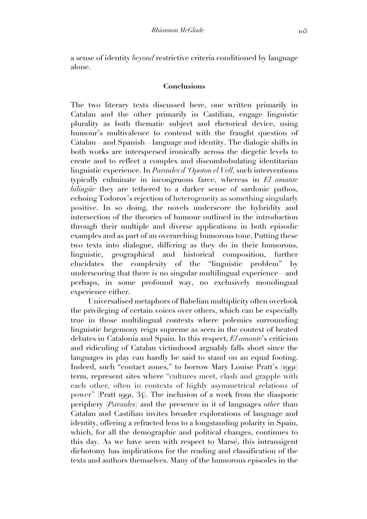a sense of identity *beyond* restrictive criteria conditioned by language alone.

#### **Conclusions**

The two literary texts discussed here, one written primarily in Catalan and the other primarily in Castilian, engage linguistic plurality as both thematic subject and rhetorical device, using humour's multivalence to contend with the fraught question of Catalan—and Spanish—language and identity. The dialogic shifts in both works are interspersed ironically across the diegetic levels to create and to reflect a complex and discombobulating identitarian linguistic experience. In *Paraules d 'Opoton el Vell*, such interventions typically culminate in incongruous farce, whereas in *El amante bilingüe* they are tethered to a darker sense of sardonic pathos, echoing Todorov's rejection of heterogeneity as something singularly positive. In so doing, the novels underscore the hybridity and intersection of the theories of humour outlined in the introduction through their multiple and diverse applications in both episodic examples and as part of an overarching humorous tone. Putting these two texts into dialogue, differing as they do in their humorous, linguistic, geographical and historical composition, further elucidates the complexity of the "linguistic problem" by underscoring that there is no singular multilingual experience—and perhaps, in some profound way, no exclusively monolingual experience either.

Universalised metaphors of Babelian multiplicity often overlook the privileging of certain voices over others, which can be especially true in those multilingual contexts where polemics surrounding linguistic hegemony reign supreme as seen in the context of heated debates in Catalonia and Spain. In this respect, *El amante*'s criticism and ridiculing of Catalan victimhood arguably falls short since the languages in play can hardly be said to stand on an equal footing. Indeed, such "contact zones," to borrow Mary Louise Pratt's (1991) term, represent sites where "cultures meet, clash and grapple with each other, often in contexts of highly asymmetrical relations of power" (Pratt 1991, 34). The inclusion of a work from the diasporic periphery (*Paraules*) and the presence in it of languages *other* than Catalan and Castilian invites broader explorations of language and identity, offering a refracted lens to a longstanding polarity in Spain, which, for all the demographic and political changes, continues to this day. As we have seen with respect to Marsé, this intransigent dichotomy has implications for the reading and classification of the texts and authors themselves. Many of the humorous episodes in the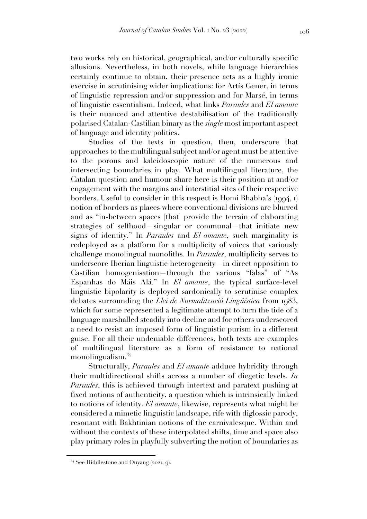two works rely on historical, geographical, and/or culturally specific allusions. Nevertheless, in both novels, while language hierarchies certainly continue to obtain, their presence acts as a highly ironic exercise in scrutinising wider implications: for Artís Gener, in terms of linguistic repression and/or suppression and for Marsé, in terms of linguistic essentialism. Indeed, what links *Paraules* and *El amante* is their nuanced and attentive destabilisation of the traditionally polarised Catalan-Castilian binary as the *single* most important aspect of language and identity politics.

Studies of the texts in question, then, underscore that approaches to the multilingual subject and/or agent must be attentive to the porous and kaleidoscopic nature of the numerous and intersecting boundaries in play. What multilingual literature, the Catalan question and humour share here is their position at and/or engagement with the margins and interstitial sites of their respective borders. Useful to consider in this respect is Homi Bhabha's (1994, 1) notion of borders as places where conventional divisions are blurred and as "in-between spaces [that] provide the terrain of elaborating strategies of selfhood—singular or communal—that initiate new signs of identity." In *Paraules* and *El amante*, such marginality is redeployed as a platform for a multiplicity of voices that variously challenge monolingual monoliths. In *Paraules*, multiplicity serves to underscore Iberian linguistic heterogeneity—in direct opposition to Castilian homogenisation—through the various "falas" of "As Espanhas do Máis Alá." In *El amante*, the typical surface-level linguistic bipolarity is deployed sardonically to scrutinise complex debates surrounding the *Llei de Normalització Lingüística* from 1983, which for some represented a legitimate attempt to turn the tide of a language marshalled steadily into decline and for others underscored a need to resist an imposed form of linguistic purism in a different guise. For all their undeniable differences, both texts are examples of multilingual literature as a form of resistance to national monolingualism.<sup>34</sup>

Structurally, *Paraules* and *El amante* adduce hybridity through their multidirectional shifts across a number of diegetic levels. *In Paraules*, this is achieved through intertext and paratext pushing at fixed notions of authenticity, a question which is intrinsically linked to notions of identity. *El amante*, likewise, represents what might be considered a mimetic linguistic landscape, rife with diglossic parody, resonant with Bakhtinian notions of the carnivalesque. Within and without the contexts of these interpolated shifts, time and space also play primary roles in playfully subverting the notion of boundaries as

 $34$  See Hiddlestone and Ouyang (2021, 9).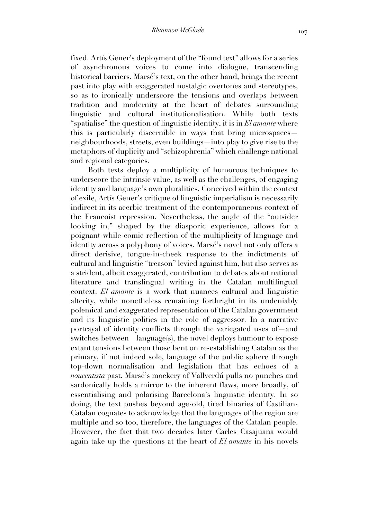fixed. Artís Gener's deployment of the "found text" allows for a series of asynchronous voices to come into dialogue, transcending historical barriers. Marsé's text, on the other hand, brings the recent past into play with exaggerated nostalgic overtones and stereotypes, so as to ironically underscore the tensions and overlaps between tradition and modernity at the heart of debates surrounding linguistic and cultural institutionalisation. While both texts "spatialise" the question of linguistic identity, it is in *El amante* where this is particularly discernible in ways that bring microspaces neighbourhoods, streets, even buildings—into play to give rise to the metaphors of duplicity and "schizophrenia" which challenge national and regional categories.

Both texts deploy a multiplicity of humorous techniques to underscore the intrinsic value, as well as the challenges, of engaging identity and language's own pluralities. Conceived within the context of exile, Artís Gener's critique of linguistic imperialism is necessarily indirect in its acerbic treatment of the contemporaneous context of the Francoist repression. Nevertheless, the angle of the "outsider looking in," shaped by the diasporic experience, allows for a poignant-while-comic reflection of the multiplicity of language and identity across a polyphony of voices. Marsé's novel not only offers a direct derisive, tongue-in-cheek response to the indictments of cultural and linguistic "treason" levied against him, but also serves as a strident, albeit exaggerated, contribution to debates about national literature and translingual writing in the Catalan multilingual context. *El amante* is a work that nuances cultural and linguistic alterity, while nonetheless remaining forthright in its undeniably polemical and exaggerated representation of the Catalan government and its linguistic politics in the role of aggressor. In a narrative portrayal of identity conflicts through the variegated uses of—and switches between—language(s), the novel deploys humour to expose extant tensions between those bent on re-establishing Catalan as the primary, if not indeed sole, language of the public sphere through top-down normalisation and legislation that has echoes of a *noucentista* past. Marsé's mockery of Vallverdú pulls no punches and sardonically holds a mirror to the inherent flaws, more broadly, of essentialising and polarising Barcelona's linguistic identity. In so doing, the text pushes beyond age-old, tired binaries of Castilian-Catalan cognates to acknowledge that the languages of the region are multiple and so too, therefore, the languages of the Catalan people. However, the fact that two decades later Carles Casajuana would again take up the questions at the heart of *El amante* in his novels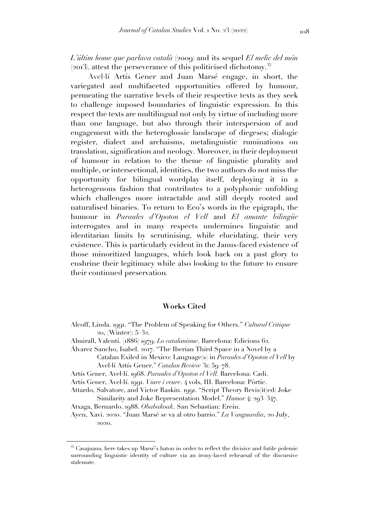*L'últim home que parlava català* (2009) and its sequel *El melic del món* (2013), attest the perseverance of this politicised dichotomy.<sup>35</sup>

Avel·lí Artís Gener and Juan Marsé engage, in short, the variegated and multifaceted opportunities offered by humour, permeating the narrative levels of their respective texts as they seek to challenge imposed boundaries of linguistic expression. In this respect the texts are multilingual not only by virtue of including more than one language, but also through their interspersion of and engagement with the heteroglossic landscape of diegeses; dialogic register, dialect and archaisms, metalinguistic ruminations on translation, signification and neology. Moreover, in their deployment of humour in relation to the theme of linguistic plurality and multiple, or intersectional, identities, the two authors do not miss the opportunity for bilingual wordplay itself, deploying it in a heterogenous fashion that contributes to a polyphonic unfolding which challenges more intractable and still deeply rooted and naturalised binaries. To return to Eco's words in the epigraph, the humour in *Paraules d'Opoton el Vell* and *El amante bilingüe* interrogates and in many respects undermines linguistic and identitarian limits by scrutinising, while elucidating, their very existence. This is particularly evident in the Janus-faced existence of those minoritized languages, which look back on a past glory to enshrine their legitimacy while also looking to the future to ensure their continued preservation*.*

#### **Works Cited**

- Alcoff, Linda. 1991. "The Problem of Speaking for Others." *Cultural Critique* 20, (Winter): 5–32.
- Almirall, Valentí. (1886) 1979. *Lo catalanisme*. Barcelona: Edicions 62.
- Álvarez Sancho, Isabel. 2017. "The Iberian Third Space in a Novel by a
	- Catalan Exiled in Mexico: Language(s) in *Paraules d'Opoton el Vell* by Avel·lí Artís Gener." *Catalan Review* 31: 59–78.
- Artís Gener, Avel·lí. 1968. *Paraules d'Opoton el Vell.* Barcelona: Cadi.
- Artís Gener, Avel·lí. 1991. *Viure i veure*. 4 vols, III. Barcelona: Pòrtic.
- Attardo, Salvatore, and Victor Raskin. 1991. "Script Theory Revis(it)ed: Joke Similarity and Joke Representation Model." *Humor* 4: 293–347.
- Atxaga, Bernardo. 1988. *Obabakoak*. San Sebastian: Erein.

Ayen, Xavi. 2020. "Juan Marsé se va al otro barrio." *La Vanguardia*, 20 July, 2020.

<sup>&</sup>lt;sup>35</sup> Casajuana, here takes up Marsé's baton in order to reflect the divisive and futile polemic surrounding linguistic identity of culture via an irony-laced rehearsal of the discursive stalemate.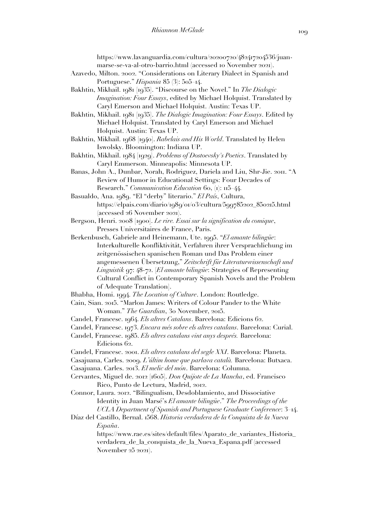https://www.lavanguardia.com/cultura/20200720/482417204536/juanmarse-se-va-al-otro-barrio.html (accessed 10 November 2021).

- Azavedo, Milton. 2002. "Considerations on Literary Dialect in Spanish and Portuguese." *Hispania* 85 (3): 505–14.
- Bakhtin, Mikhail. 1981 [1935]. "Discourse on the Novel." In *The Dialogic Imagination: Four Essays*, edited by Michael Holquist. Translated by Caryl Emerson and Michael Holquist. Austin: Texas UP.
- Bakhtin, Mikhail. 1981 [1935]. *The Dialogic Imagination: Four Essays*. Edited by Michael Holquist. Translated by Caryl Emerson and Michael Holquist. Austin: Texas UP.
- Bakhtin, Mikhail. 1968 [1940]. *Rabelais and His World*. Translated by Helen Iswolsky. Bloomington: Indiana UP.
- Bakhtin, Mikhail. 1984 [1929]. *Problems of Dostoevsky's Poetics*. Translated by Caryl Emmerson. Minneapolis: Minnesota UP.
- Banas, John A., Dunbar, Norah, Rodriguez, Dariela and Liu, Shr-Jie. 2011. "A Review of Humor in Educational Settings: Four Decades of Research." *Communication Education* 60, (1): 115–44.
- Basualdo, Ana. 1989. "El "derby" literario." *El País*, Cultura, https://elpais.com/diario/1989/01/03/cultura/599785202\_850215.html (accessed 26 November 2021).
- Bergson, Henri. 2008 [1900]. *Le rire. Essai sur la signification du comique*, Presses Universitaires de France, Paris.
- Berkenbusch, Gabriele and Heinemann, Ute. 1995. "*El amante bilingüe*: Interkulturelle Konfliktivität, Verfahren ihrer Versprachlichung im zeitgenössischen spanischen Roman und Das Problem einer angemessenen Übersetzung," *Zeitschrift für Literaturwissenschaft und Linguistik* 97: 48-72. [*El amante bilingüe*: Strategies of Representing Cultural Conflict in Contemporary Spanish Novels and the Problem of Adequate Translation].
- Bhabha, Homi. 1994. *The Location of Culture*. London: Routledge.
- Cain, Sian. 2015. "Marlon James: Writers of Colour Pander to the White Woman." *The Guardian*, 30 November, 2015.
- Candel, Francesc. 1964. *Els altres Catalans*. Barcelona: Edicions 62.
- Candel, Francesc. 1973. *Encara més sobre els altres catalans*. Barcelona: Curial.
- Candel, Francesc. 1985. *Els altres catalans vint anys després.* Barcelona: Edicions 62.
- Candel, Francesc. 2001. *Els altres catalans del segle XXI*. Barcelona: Planeta.
- Casajuana, Carles. 2009. *L'últim home que parlava català.* Barcelona: Butxaca.
- Casajuana. Carles. 2013. *El melic del món*. Barcelona: Columna.
- Cervantes, Miguel de. 2012 [1605]. *Don Quijote de La Mancha*, ed. Francisco Rico, Punto de Lectura, Madrid, 2012.
- Connor, Laura. 2012. "Bilingualism, Desdoblamiento, and Dissociative Identity in Juan Marsé's *El amante bilingüe*." *The Proceedings of the UCLA Department of Spanish and Portuguese Graduate Conference*: 3–14.
- Díaz del Castillo, Bernal. 1568. *Historia verdadera de la Conquista de la Nueva España*.

https://www.rae.es/sites/default/files/Aparato\_de\_variantes\_Historia\_ verdadera\_de\_la\_conquista\_de\_la\_Nueva\_Espana.pdf (accessed November 25 2021).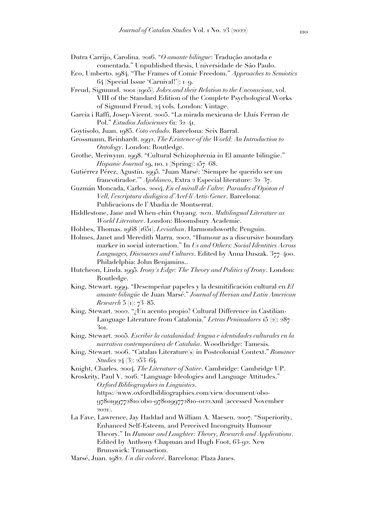Dutra Carrijo, Carolina. 2016. "*O amante bilíngue*: Tradução anotada e comentada." Unpublished thesis, Universidade de São Paulo.

- Eco, Umberto. 1984. "The Frames of Comic Freedom." *Approaches to Semiotics* 64 [Special Issue 'Carnival!']: 1–9.
- Freud, Sigmund. 2001 [1905]. *Jokes and their Relation to the Unconscious*, vol. VIII of the Standard Edition of the Complete Psychological Works of Sigmund Freud, 24 vols. London: Vintage.

Garcia i Raffi, Josep-Vicent. 2005. "La mirada mexicana de Lluís Ferran de Pol." *Estudios Jaliscienses* 61: 32–41.

Goytisolo, Juan. 1985. *Coto vedado*. Barcelona: Seix Barral.

Grossmann, Reinhardt. 1992. *The Existence of the World: An Introduction to Ontology*. London: Routledge.

- Grothe, Meriwynn. 1998. "Cultural Schizophrenia in El amante bilingüe." *Hispanic Journal* 19, no. 1 (Spring): 157–68.
- Gutiérrez Pérez, Agustín. 1995. "Juan Marsé: 'Siempre he querido ser un francotirador.'" *Ajoblanco*, Extra 2 Especial literature: 32–37.

Guzmán Moncada, Carlos. 2004. *En el mirall de l'altre. Paraules d'Opòton el Vell, l'escriptura dialògica d'Avel·lí Artís-Gener*. Barcelona: Publicacions de l'Abadia de Montserrat.

Hiddlestone, Jane and When-chin Ouyang. 2021. *Multilingual Literature as World Literature*. London: Bloomsbury Academic.

- Hobbes, Thomas. 1968 [1651]. *Leviathan*. Harmondsworth: Penguin.
- Holmes, Janet and Meredith Marra. 2002. "Humour as a discursive boundary marker in social interaction." In *Us and Others: Social Identities Across Languages, Discourses and Cultures*. Edited by Anna Duszak. 377–400. Philadelphia: John Benjamins..
- Hutcheon, Linda. 1995. *Irony's Edge: The Theory and Politics of Irony*. London: Routledge.
- King, Stewart. 1999. "Desempeñar papeles y la desmitificación cultural en *El amante bilingüe* de Juan Marsé." *Journal of Iberian and Latin American Research* 5 (1): 73–85.
- King, Stewart. 2002. "¿Un acento propio? Cultural Difference in Castilian-Language Literature from Catalonia." *Letras Peninsulares* 15 (2): 287– 301.
- King, Stewart. 2005. *Escribir la catalanidad: lengua e identidades culturales en la narrativa contemporánea de Cataluña*. Woodbridge: Tamesis.
- King, Stewart. 2006. "Catalan Literature(s) in Postcolonial Context." *Romance Studies* 24 (3): 253–64.
- Knight, Charles. 2004. *The Literature of Satire*. Cambridge: Cambridge UP.

Kroskrity, Paul V. 2016. "Language Ideologies and Language Attitudes." *Oxford Bibliographies in Linguistics*.

> https://www.oxfordbibliographies.com/view/document/obo-9780199772810/obo-9780199772810-0122.xml (accessed November 2021).

La Fave, Lawrence, Jay Haddad and William A. Maesen. 2007. "Superiority, Enhanced Self-Esteem, and Perceived Incongruity Humour Theory." In *Humour and Laughter: Theory, Research and Applications*. Edited by Anthony Chapman and Hugh Foot, 63-92. New Brunswick: Transaction.

Marsé, Juan. 1982. *Un día volveré*. Barcelona: Plaza Janes.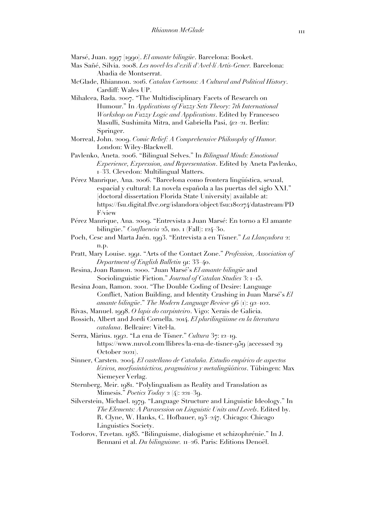Marsé, Juan. 1997 [1990]. *El amante bilingüe*. Barcelona: Booket.

- Mas Sañé, Silvia. 2008. *Les novel·les d'exili d'Avel·lí Artís-Gener.* Barcelona: Abadia de Montserrat.
- McGlade, Rhiannon. 2016. *Catalan Cartoons: A Cultural and Political History*. Cardiff: Wales UP.
- Mihalcea, Rada. 2007. "The Multidisciplinary Facets of Research on Humour." In *Applications of Fuzzy Sets Theory: 7th International Workshop on Fuzzy Logic and Applications*. Edited by Francesco Masulli, Sushimita Mitra, and Gabriella Pasi, 412–21. Berlin: Springer.
- Morreal, John. 2009. *Comic Relief: A Comprehensive Philosophy of Humor.*  London: Wiley-Blackwell.
- Pavlenko, Aneta. 2006. "Bilingual Selves." In *Bilingual Minds: Emotional Experience, Expression, and Representation*. Edited by Aneta Pavlenko, 1–33. Clevedon: Multilingual Matters.
- Pérez Manrique, Ana. 2006. "Barcelona como frontera lingüística, sexual, espacial y cultural: La novela española a las puertas del siglo XXI." [doctoral dissertation Florida State University] available at: https://fsu.digital.flvc.org/islandora/object/fsu:180274/datastream/PD F/view
- Pérez Manrique, Ana. 2009. "Entrevista a Juan Marsé: En torno a El amante bilingüe." *Confluencia* 25, no. 1 (Fall): 124–30.
- Poch, Cesc and Marta Jaén. 1993. "Entrevista a en Tísner." *La Llançadora* 2: n.p.
- Pratt, Mary Louise. 1991. "Arts of the Contact Zone." *Profession, Association of Department of English Bulletin* 91: 33–40.
- Resina, Joan Ramon. 2000. "Juan Marsé's *El amante bilingüe* and Sociolinguistic Fiction." *Journal of Catalan Studies* 3: 1–15.
- Resina Joan, Ramon. 2001. "The Double Coding of Desire: Language Conflict, Nation Building, and Identity Crashing in Juan Marsé's *El amante bilingüe*." *The Modern Language Review* 96 (1): 92–102.
- Rivas, Manuel. 1998. *O lapis do carpinteiro*. Vigo: Xerais de Galicia.
- Rossich, Albert and Jordi Cornella. 2014. *El plurilingüisme en la literatura catalana*. Bellcaire: Vitel·la.
- Serra, Màrius. 1992. "La ena de Tísner." *Cultura* 37: 12–19. https://www.nuvol.com/llibres/la-ena-de-tisner-959 (accessed 29 October 2021).
- Sinner, Carsten. 2004. *El castellano de Cataluña. Estudio empírico de aspectos léxicos, morfosintácticos, pragmáticos y metalingüísticos*. Tübingen: Max Niemeyer Verlag.
- Sternberg, Meir. 1981. "Polylingualism as Reality and Translation as Mimesis." *Poetics Today* 2 (4): 221–39.
- Silverstein, Michael. 1979. "Language Structure and Linguistic Ideology." In *The Elements: A Parasession on Linguistic Units and Levels*. Edited by. R. Clyne, W. Hanks, C. Hofbauer, 193–247. Chicago: Chicago Linguistics Society.
- Todorov, Tzvetan. 1985. "Bilinguisme, dialogisme et schizophrénie." In J. Bennani et al. *Du bilinguisme*. 11–26. Paris: Editions Denoël.